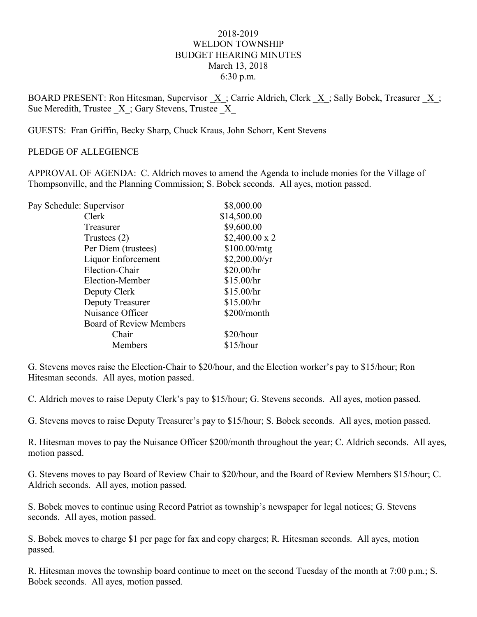## 2018-2019 WELDON TOWNSHIP BUDGET HEARING MINUTES March 13, 2018 6:30 p.m.

BOARD PRESENT: Ron Hitesman, Supervisor  $\underline{X}$ ; Carrie Aldrich, Clerk  $\underline{X}$ ; Sally Bobek, Treasurer  $\underline{X}$ ; Sue Meredith, Trustee  $X$ ; Gary Stevens, Trustee  $X$ 

GUESTS: Fran Griffin, Becky Sharp, Chuck Kraus, John Schorr, Kent Stevens

## PLEDGE OF ALLEGIENCE

APPROVAL OF AGENDA: C. Aldrich moves to amend the Agenda to include monies for the Village of Thompsonville, and the Planning Commission; S. Bobek seconds. All ayes, motion passed.

| Pay Schedule: Supervisor |                                | \$8,000.00           |
|--------------------------|--------------------------------|----------------------|
|                          | Clerk                          | \$14,500.00          |
|                          | Treasurer                      | \$9,600.00           |
|                          | Trustees $(2)$                 | $$2,400.00 \times 2$ |
|                          | Per Diem (trustees)            | \$100.00/mtg         |
|                          | Liquor Enforcement             | \$2,200.00/yr        |
|                          | Election-Chair                 | \$20.00/hr           |
|                          | Election-Member                | \$15.00/hr           |
|                          | Deputy Clerk                   | \$15.00/hr           |
|                          | Deputy Treasurer               | \$15.00/hr           |
|                          | Nuisance Officer               | \$200/month          |
|                          | <b>Board of Review Members</b> |                      |
|                          | Chair                          | \$20/hour            |
|                          | Members                        | \$15/hour            |
|                          |                                |                      |

G. Stevens moves raise the Election-Chair to \$20/hour, and the Election worker's pay to \$15/hour; Ron Hitesman seconds. All ayes, motion passed.

C. Aldrich moves to raise Deputy Clerk's pay to \$15/hour; G. Stevens seconds. All ayes, motion passed.

G. Stevens moves to raise Deputy Treasurer's pay to \$15/hour; S. Bobek seconds. All ayes, motion passed.

R. Hitesman moves to pay the Nuisance Officer \$200/month throughout the year; C. Aldrich seconds. All ayes, motion passed.

G. Stevens moves to pay Board of Review Chair to \$20/hour, and the Board of Review Members \$15/hour; C. Aldrich seconds. All ayes, motion passed.

S. Bobek moves to continue using Record Patriot as township's newspaper for legal notices; G. Stevens seconds. All ayes, motion passed.

S. Bobek moves to charge \$1 per page for fax and copy charges; R. Hitesman seconds. All ayes, motion passed.

R. Hitesman moves the township board continue to meet on the second Tuesday of the month at 7:00 p.m.; S. Bobek seconds. All ayes, motion passed.